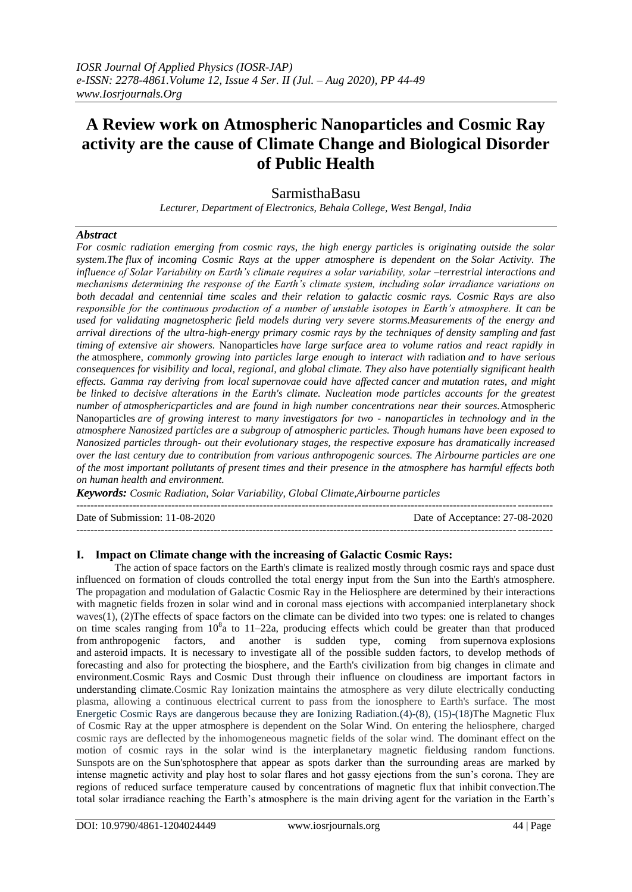# **A Review work on Atmospheric Nanoparticles and Cosmic Ray activity are the cause of Climate Change and Biological Disorder of Public Health**

## SarmisthaBasu

*Lecturer, Department of Electronics, Behala College, West Bengal, India*

#### *Abstract*

*For cosmic radiation emerging from cosmic rays, the high energy particles is originating outside the solar system.The [flux](https://en.wikipedia.org/wiki/Flux) of incoming Cosmic Rays at the upper atmosphere is dependent on the Solar Activity. The influence of Solar Variability on Earth's climate requires a solar variability, solar –terrestrial interactions and mechanisms determining the response of the Earth's climate system, including solar irradiance variations on both decadal and centennial time scales and their relation to galactic cosmic rays. Cosmic Rays are also responsible for the continuous production of a number of unstable isotopes in Earth's atmosphere. It can be used for validating magnetospheric field models during very severe storms.Measurements of the energy and arrival directions of the ultra-high-energy primary cosmic rays by the techniques of density sampling and fast timing of extensive air showers.* Nanoparticles *have large surface area to volume ratios and react rapidly in the* atmosphere*, commonly growing into particles large enough to interact with* radiation *and to have serious consequences for visibility and local, regional, and global climate. They also have potentially significant health effects. [Gamma ray](https://en.wikipedia.org/wiki/Gamma_ray) deriving from local [supernovae](https://en.wikipedia.org/wiki/Supernova) could have affected [cancer](https://en.wikipedia.org/wiki/Cancer) and [mutation rates,](https://en.wikipedia.org/wiki/Mutation_rate) and might be linked to decisive alterations in the Earth's climate. Nucleation mode particles accounts for the greatest number of atmosphericparticles and are found in high number concentrations near their sources.*Atmospheric Nanoparticles *are of growing interest to many investigators for two - nanoparticles in technology and in the atmosphere Nanosized particles are a subgroup of atmospheric particles. Though humans have been exposed to Nanosized particles through‐ out their evolutionary stages, the respective exposure has dramatically increased over the last century due to contribution from various anthropogenic sources. The Airbourne particles are one of the most important pollutants of present times and their presence in the atmosphere has harmful effects both on human health and environment.*

*Keywords: Cosmic Radiation, Solar Variability, Global Climate,Airbourne particles*

| Date of Submission: 11-08-2020 | Date of Acceptance: 27-08-2020 |
|--------------------------------|--------------------------------|
|                                |                                |

#### **I. Impact on Climate change with the increasing of Galactic Cosmic Rays:**

The action of space factors on the Earth's climate is realized mostly through cosmic rays and space dust influenced on formation of clouds controlled the total energy input from the Sun into the Earth's atmosphere. The propagation and modulation of Galactic Cosmic Ray in the Heliosphere are determined by their interactions with magnetic fields frozen in solar wind and in coronal mass ejections with accompanied interplanetary shock waves(1), (2)The effects of space factors on the climate can be divided into two types: one is related to changes on time scales ranging from  $10^8$ a to 11–22a, producing effects which could be greater than that produced from [anthropogenic factors,](https://www.sciencedirect.com/topics/earth-and-planetary-sciences/anthropogenic-factor) and another is sudden type, coming from [supernova](https://www.sciencedirect.com/topics/earth-and-planetary-sciences/supernovae) explosions and [asteroid](https://www.sciencedirect.com/topics/earth-and-planetary-sciences/asteroid) impacts. It is necessary to investigate all of the possible sudden factors, to develop methods of forecasting and also for protecting the [biosphere,](https://www.sciencedirect.com/topics/earth-and-planetary-sciences/biosphere) and the Earth's civilization from big changes in climate and environment.Cosmic Rays and [Cosmic Dust](https://www.sciencedirect.com/topics/earth-and-planetary-sciences/cosmic-dust) through their influence on [cloudiness](https://www.sciencedirect.com/topics/earth-and-planetary-sciences/cloud-cover) are important factors in understanding climate.Cosmic Ray Ionization maintains the atmosphere as very dilute electrically conducting plasma, allowing a continuous electrical current to pass from the ionosphere to Earth's surface. The most Energetic Cosmic Rays are dangerous because they are Ionizing Radiation.(4)-(8), (15)-(18)The Magnetic Flux of Cosmic Ray at the upper atmosphere is dependent on the Solar Wind. On entering the heliosphere, charged cosmic rays are deflected by the inhomogeneous magnetic fields of the solar wind. The dominant effect on the motion of cosmic rays in the solar wind is the interplanetary magnetic fieldusing random functions. Sunspots are on the [Sun'](https://en.wikipedia.org/wiki/Sun)[sphotosphere](https://en.wikipedia.org/wiki/Photosphere) that appear as spots darker than the surrounding areas are marked by intense magnetic activity and play host to solar flares and hot gassy ejections from the sun's corona. They are regions of reduced surface temperature caused by concentrations of [magnetic flux](https://en.wikipedia.org/wiki/Magnetic_flux) that inhibit [convection.T](https://en.wikipedia.org/wiki/Convection)he total solar irradiance reaching the Earth's atmosphere is the main driving agent for the variation in the Earth's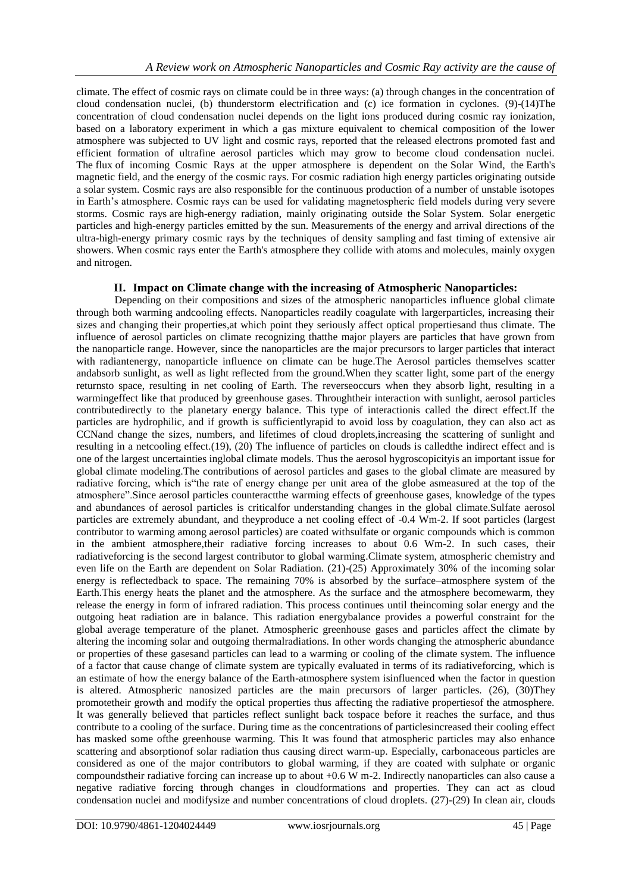climate. The effect of cosmic rays on climate could be in three ways: (a) through changes in the concentration of cloud condensation nuclei, (b) thunderstorm electrification and (c) ice formation in cyclones. (9)-(14)The concentration of cloud condensation nuclei depends on the light ions produced during cosmic ray ionization, based on a laboratory experiment in which a gas mixture equivalent to chemical composition of the lower atmosphere was subjected to UV light and cosmic rays, reported that the released electrons promoted fast and efficient formation of ultrafine aerosol particles which may grow to become cloud condensation nuclei. The [flux](https://en.wikipedia.org/wiki/Flux) of incoming Cosmic Rays at the upper atmosphere is dependent on the [Solar Wind,](https://en.wikipedia.org/wiki/Solar_wind) the [Earth's](https://en.wikipedia.org/wiki/Earth%27s_magnetic_field)  [magnetic field,](https://en.wikipedia.org/wiki/Earth%27s_magnetic_field) and the energy of the cosmic rays. For cosmic radiation high energy particles originating outside a solar system. Cosmic rays are also responsible for the continuous production of a number of unstable isotopes in Earth's atmosphere. Cosmic rays can be used for validating magnetospheric field models during very severe storms. Cosmic rays are [high-energy radiation,](https://en.wikipedia.org/wiki/Ionizing_radiation) mainly originating outside the [Solar System.](https://en.wikipedia.org/wiki/Solar_System) [Solar energetic](https://en.wikipedia.org/wiki/Solar_energetic_particles)  [particles](https://en.wikipedia.org/wiki/Solar_energetic_particles) and high-energy particles emitted by the sun. Measurements of the energy and arrival directions of the ultra-high-energy primary cosmic rays by the techniques of density sampling and fast timing of extensive air showers. When cosmic rays enter the [Earth's atmosphere](https://en.wikipedia.org/wiki/Earth%27s_atmosphere) they collide with [atoms](https://en.wikipedia.org/wiki/Atom) and [molecules,](https://en.wikipedia.org/wiki/Molecule) mainly oxygen and nitrogen.

### **II. Impact on Climate change with the increasing of Atmospheric Nanoparticles:**

Depending on their compositions and sizes of the atmospheric nanoparticles influence global climate through both warming andcooling effects. Nanoparticles readily coagulate with largerparticles, increasing their sizes and changing their properties,at which point they seriously affect optical propertiesand thus climate. The influence of aerosol particles on climate recognizing thatthe major players are particles that have grown from the nanoparticle range. However, since the nanoparticles are the major precursors to larger particles that interact with radiantenergy, nanoparticle influence on climate can be huge.The Aerosol particles themselves scatter andabsorb sunlight, as well as light reflected from the ground.When they scatter light, some part of the energy returnsto space, resulting in net cooling of Earth. The reverseoccurs when they absorb light, resulting in a warmingeffect like that produced by greenhouse gases. Throughtheir interaction with sunlight, aerosol particles contributedirectly to the planetary energy balance. This type of interactionis called the direct effect.If the particles are hydrophilic, and if growth is sufficientlyrapid to avoid loss by coagulation, they can also act as CCNand change the sizes, numbers, and lifetimes of cloud droplets,increasing the scattering of sunlight and resulting in a netcooling effect.(19), (20) The influence of particles on clouds is calledthe indirect effect and is one of the largest uncertainties inglobal climate models. Thus the aerosol hygroscopicityis an important issue for global climate modeling.The contributions of aerosol particles and gases to the global climate are measured by radiative forcing, which is "the rate of energy change per unit area of the globe asmeasured at the top of the atmosphere‖.Since aerosol particles counteractthe warming effects of greenhouse gases, knowledge of the types and abundances of aerosol particles is criticalfor understanding changes in the global climate.Sulfate aerosol particles are extremely abundant, and theyproduce a net cooling effect of -0.4 Wm-2. If soot particles (largest contributor to warming among aerosol particles) are coated withsulfate or organic compounds which is common in the ambient atmosphere,their radiative forcing increases to about 0.6 Wm-2. In such cases, their radiativeforcing is the second largest contributor to global warming.Climate system, atmospheric chemistry and even life on the Earth are dependent on Solar Radiation. (21)-(25) Approximately 30% of the incoming solar energy is reflectedback to space. The remaining 70% is absorbed by the surface–atmosphere system of the Earth.This energy heats the planet and the atmosphere. As the surface and the atmosphere becomewarm, they release the energy in form of infrared radiation. This process continues until theincoming solar energy and the outgoing heat radiation are in balance. This radiation energybalance provides a powerful constraint for the global average temperature of the planet. Atmospheric greenhouse gases and particles affect the climate by altering the incoming solar and outgoing thermalradiations. In other words changing the atmospheric abundance or properties of these gasesand particles can lead to a warming or cooling of the climate system. The influence of a factor that cause change of climate system are typically evaluated in terms of its radiativeforcing, which is an estimate of how the energy balance of the Earth-atmosphere system isinfluenced when the factor in question is altered. Atmospheric nanosized particles are the main precursors of larger particles. (26), (30)They promotetheir growth and modify the optical properties thus affecting the radiative propertiesof the atmosphere. It was generally believed that particles reflect sunlight back tospace before it reaches the surface, and thus contribute to a cooling of the surface. During time as the concentrations of particlesincreased their cooling effect has masked some ofthe greenhouse warming. This It was found that atmospheric particles may also enhance scattering and absorptionof solar radiation thus causing direct warm-up. Especially, carbonaceous particles are considered as one of the major contributors to global warming, if they are coated with sulphate or organic compoundstheir radiative forcing can increase up to about +0.6 W m-2. Indirectly nanoparticles can also cause a negative radiative forcing through changes in cloudformations and properties. They can act as cloud condensation nuclei and modifysize and number concentrations of cloud droplets. (27)-(29) In clean air, clouds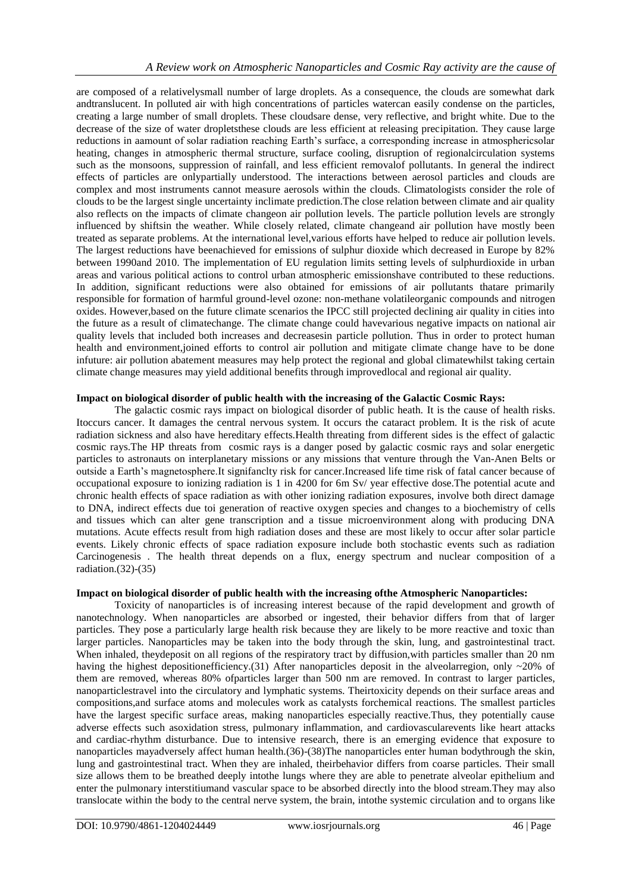are composed of a relativelysmall number of large droplets. As a consequence, the clouds are somewhat dark andtranslucent. In polluted air with high concentrations of particles watercan easily condense on the particles, creating a large number of small droplets. These cloudsare dense, very reflective, and bright white. Due to the decrease of the size of water dropletsthese clouds are less efficient at releasing precipitation. They cause large reductions in aamount of solar radiation reaching Earth's surface, a corresponding increase in atmosphericsolar heating, changes in atmospheric thermal structure, surface cooling, disruption of regionalcirculation systems such as the monsoons, suppression of rainfall, and less efficient removalof pollutants. In general the indirect effects of particles are onlypartially understood. The interactions between aerosol particles and clouds are complex and most instruments cannot measure aerosols within the clouds. Climatologists consider the role of clouds to be the largest single uncertainty inclimate prediction.The close relation between climate and air quality also reflects on the impacts of climate changeon air pollution levels. The particle pollution levels are strongly influenced by shiftsin the weather. While closely related, climate changeand air pollution have mostly been treated as separate problems. At the international level,various efforts have helped to reduce air pollution levels. The largest reductions have beenachieved for emissions of sulphur dioxide which decreased in Europe by 82% between 1990and 2010. The implementation of EU regulation limits setting levels of sulphurdioxide in urban areas and various political actions to control urban atmospheric emissionshave contributed to these reductions. In addition, significant reductions were also obtained for emissions of air pollutants thatare primarily responsible for formation of harmful ground-level ozone: non-methane volatileorganic compounds and nitrogen oxides. However,based on the future climate scenarios the IPCC still projected declining air quality in cities into the future as a result of climatechange. The climate change could havevarious negative impacts on national air quality levels that included both increases and decreasesin particle pollution. Thus in order to protect human health and environment,joined efforts to control air pollution and mitigate climate change have to be done infuture: air pollution abatement measures may help protect the regional and global climatewhilst taking certain climate change measures may yield additional benefits through improvedlocal and regional air quality.

#### **Impact on biological disorder of public health with the increasing of the Galactic Cosmic Rays:**

The galactic cosmic rays impact on biological disorder of public heath. It is the cause of health risks. Itoccurs cancer. It damages the central nervous system. It occurs the cataract problem. It is the risk of acute radiation sickness and also have hereditary effects.Health threating from different sides is the effect of galactic cosmic rays.The HP threats from cosmic rays is a danger posed by galactic cosmic rays and solar energetic particles to astronauts on interplanetary missions or any missions that venture through the Van-Anen Belts or outside a Earth's magnetosphere.It signifanclty risk for cancer.Increased life time risk of fatal cancer because of occupational exposure to ionizing radiation is 1 in 4200 for 6m Sv/ year effective dose.The potential acute and chronic health effects of space radiation as with other ionizing radiation exposures, involve both direct damage to DNA, indirect effects due toi generation of reactive oxygen species and changes to a biochemistry of cells and tissues which can alter gene transcription and a tissue microenvironment along with producing DNA mutations. Acute effects result from high radiation doses and these are most likely to occur after solar particle events. Likely chronic effects of space radiation exposure include both stochastic events such as radiation Carcinogenesis . The health threat depends on a flux, energy spectrum and nuclear composition of a radiation.(32)-(35)

#### **Impact on biological disorder of public health with the increasing ofthe Atmospheric Nanoparticles:**

Toxicity of nanoparticles is of increasing interest because of the rapid development and growth of nanotechnology. When nanoparticles are absorbed or ingested, their behavior differs from that of larger particles. They pose a particularly large health risk because they are likely to be more reactive and toxic than larger particles. Nanoparticles may be taken into the body through the skin, lung, and gastrointestinal tract. When inhaled, theydeposit on all regions of the respiratory tract by diffusion,with particles smaller than 20 nm having the highest depositionefficiency.(31) After nanoparticles deposit in the alveolarregion, only  $\sim$ 20% of them are removed, whereas 80% ofparticles larger than 500 nm are removed. In contrast to larger particles, nanoparticlestravel into the circulatory and lymphatic systems. Theirtoxicity depends on their surface areas and compositions,and surface atoms and molecules work as catalysts forchemical reactions. The smallest particles have the largest specific surface areas, making nanoparticles especially reactive.Thus, they potentially cause adverse effects such asoxidation stress, pulmonary inflammation, and cardiovascularevents like heart attacks and cardiac-rhythm disturbance. Due to intensive research, there is an emerging evidence that exposure to nanoparticles mayadversely affect human health.(36)-(38)The nanoparticles enter human bodythrough the skin, lung and gastrointestinal tract. When they are inhaled, theirbehavior differs from coarse particles. Their small size allows them to be breathed deeply intothe lungs where they are able to penetrate alveolar epithelium and enter the pulmonary interstitiumand vascular space to be absorbed directly into the blood stream.They may also translocate within the body to the central nerve system, the brain, intothe systemic circulation and to organs like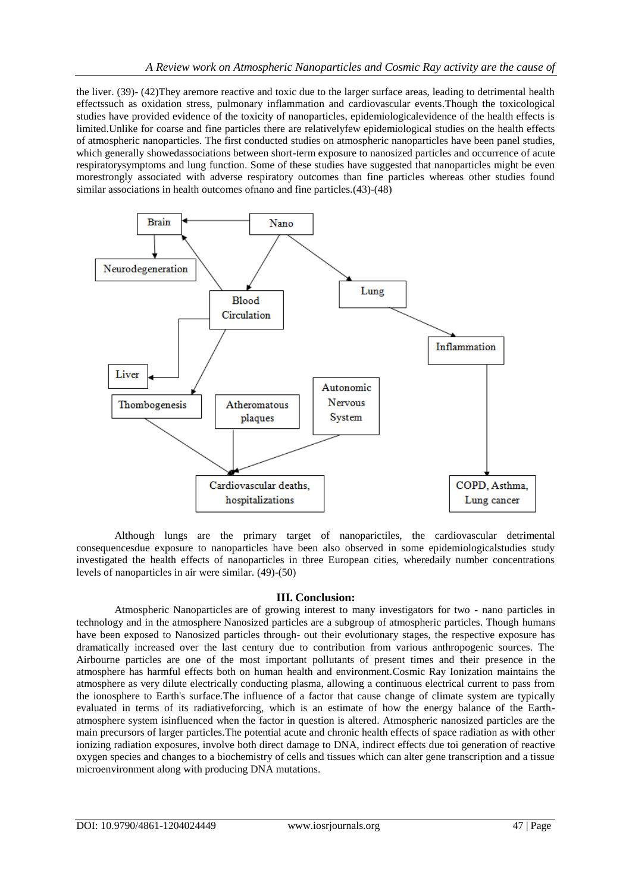the liver. (39)- (42)They aremore reactive and toxic due to the larger surface areas, leading to detrimental health effectssuch as oxidation stress, pulmonary inflammation and cardiovascular events.Though the toxicological studies have provided evidence of the toxicity of nanoparticles, epidemiologicalevidence of the health effects is limited.Unlike for coarse and fine particles there are relativelyfew epidemiological studies on the health effects of atmospheric nanoparticles. The first conducted studies on atmospheric nanoparticles have been panel studies, which generally showedassociations between short-term exposure to nanosized particles and occurrence of acute respiratorysymptoms and lung function. Some of these studies have suggested that nanoparticles might be even morestrongly associated with adverse respiratory outcomes than fine particles whereas other studies found similar associations in health outcomes ofnano and fine particles.(43)-(48)



Although lungs are the primary target of nanoparictiles, the cardiovascular detrimental consequencesdue exposure to nanoparticles have been also observed in some epidemiologicalstudies study investigated the health effects of nanoparticles in three European cities, wheredaily number concentrations levels of nanoparticles in air were similar. (49)-(50)

#### **III. Conclusion:**

Atmospheric Nanoparticles are of growing interest to many investigators for two - nano particles in technology and in the atmosphere Nanosized particles are a subgroup of atmospheric particles. Though humans have been exposed to Nanosized particles through- out their evolutionary stages, the respective exposure has dramatically increased over the last century due to contribution from various anthropogenic sources. The Airbourne particles are one of the most important pollutants of present times and their presence in the atmosphere has harmful effects both on human health and environment.Cosmic Ray Ionization maintains the atmosphere as very dilute electrically conducting plasma, allowing a continuous electrical current to pass from the ionosphere to Earth's surface.The influence of a factor that cause change of climate system are typically evaluated in terms of its radiativeforcing, which is an estimate of how the energy balance of the Earthatmosphere system isinfluenced when the factor in question is altered. Atmospheric nanosized particles are the main precursors of larger particles.The potential acute and chronic health effects of space radiation as with other ionizing radiation exposures, involve both direct damage to DNA, indirect effects due toi generation of reactive oxygen species and changes to a biochemistry of cells and tissues which can alter gene transcription and a tissue microenvironment along with producing DNA mutations.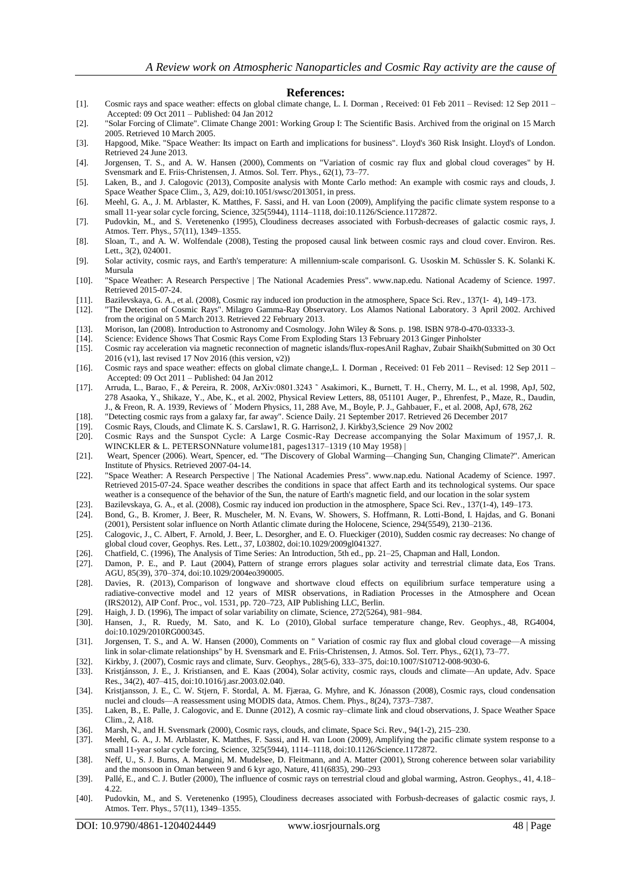#### **References:**

- [1]. Cosmic rays and space weather: effects on global climate change, L. I. Dorman , Received: 01 Feb 2011 Revised: 12 Sep 2011 Accepted: 09 Oct 2011 – Published: 04 Jan 2012
- [2]. ["Solar Forcing of Climate".](https://web.archive.org/web/20050315081547/http:/www.grida.no/climate/ipcc_tar/wg1/244.htm) Climate Change 2001: Working Group I: The Scientific Basis. Archived from [the original](http://www.grida.no/climate/ipcc_tar/wg1/244.htm) on 15 March 2005. Retrieved 10 March 2005.
- [3]. Hapgood, Mike. ["Space Weather: Its impact on Earth and implications for business".](http://www.lloyds.com/~/media/Lloyds/Reports/360/360%20Space%20Weather/7311_Lloyds_360_Space%20Weather_03.pdf) Lloyd's 360 Risk Insight. Lloyd's [of London.](https://en.wikipedia.org/wiki/Lloyd%27s_of_London)  Retrieved 24 June 2013.
- [4]. Jorgensen, T. S., and A. W. Hansen (2000), Comments on "Variation of cosmic ray flux and global cloud coverages" by H. Svensmark and E. Friis‐Christensen, J. Atmos. Sol. Terr. Phys., 62(1), 73–77.
- [5]. Laken, B., and J. Calogovic (2013), Composite analysis with Monte Carlo method: An example with cosmic rays and clouds, J. Space Weather Space Clim., 3, A29, do[i:10.1051/swsc/2013051,](https://doi.org/10.1051/swsc/2013051) in press.
- [6]. Meehl, G. A., J. M. Arblaster, K. Matthes, F. Sassi, and H. van Loon (2009), Amplifying the pacific climate system response to a small 11‐year solar cycle forcing, Science, 325(5944), 1114–1118, doi[:10.1126/Science.1172872.](https://doi.org/10.1126/Science.1172872)
- [7]. Pudovkin, M., and S. Veretenenko (1995), Cloudiness decreases associated with Forbush‐decreases of galactic cosmic rays, J. Atmos. Terr. Phys., 57(11), 1349–1355.
- [8]. Sloan, T., and A. W. Wolfendale (2008), Testing the proposed causal link between cosmic rays and cloud cover. Environ. Res. Lett., 3(2), 024001.
- [9]. Solar activity, cosmic rays, and Earth's temperature: A millennium‐scale compariso[nI. G. Usoskin](https://agupubs.onlinelibrary.wiley.com/action/doSearch?ContribAuthorStored=Usoskin%2C+I+G) [M. Schüssler](https://agupubs.onlinelibrary.wiley.com/action/doSearch?ContribAuthorStored=Sch%C3%BCssler%2C+M) [S. K. Solanki](https://agupubs.onlinelibrary.wiley.com/action/doSearch?ContribAuthorStored=Solanki%2C+S+K) [K.](https://agupubs.onlinelibrary.wiley.com/action/doSearch?ContribAuthorStored=Mursula%2C+K)  [Mursula](https://agupubs.onlinelibrary.wiley.com/action/doSearch?ContribAuthorStored=Mursula%2C+K)
- [10]. ["Space Weather: A Research Perspective | The National Academies Press".](http://www.nap.edu/catalog.php?record_id=12272) www.nap.edu. National Academy of Science. 1997. Retrieved 2015-07-24.
- [11]. Bazilevskaya, G. A., et al. (2008), Cosmic ray induced ion production in the atmosphere, Space Sci. Rev., 137(1‐ 4), 149–173.
- [12]. ["The Detection of Cosmic Rays".](https://web.archive.org/web/20130305045916/http:/www.lanl.gov/milagro/detecting.shtml) Milagro Gamma-Ray Observatory. Los Alamos National Laboratory. 3 April 2002. Archived from [the original](http://www.lanl.gov/milagro/detecting.shtml) on 5 March 2013. Retrieved 22 February 2013.
- [13]. Morison, Ian (2008). Introduction to Astronomy and Cosmology. John Wiley & Sons. p. 198. [ISBN](https://en.wikipedia.org/wiki/International_Standard_Book_Number) [978-0-470-03333-3.](https://en.wikipedia.org/wiki/Special:BookSources/978-0-470-03333-3)
- [14]. Science: Evidence Shows That Cosmic Rays Come From Exploding Stars 13 February 2013 Ginger Pinholster [15]. Cosmic ray acceleration via magnetic reconnection of magnetic islands/flux-ropesAnil Raghav, Zubair Shaikh
- [15]. Cosmic ray acceleration via magnetic reconnection of magnetic islands/flux-rope[sAnil Raghav,](https://arxiv.org/search/physics?searchtype=author&query=Raghav%2C+A) [Zubair Shaikh\(](https://arxiv.org/search/physics?searchtype=author&query=Shaikh%2C+Z)Submitted on 30 Oct 2016 [\(v1\)](https://arxiv.org/abs/1610.09628v1), last revised 17 Nov 2016 (this version, v2))
- [16]. Cosmic rays and space weather: effects on global climate change,L. I. Dorman , Received: 01 Feb 2011 Revised: 12 Sep 2011 Accepted: 09 Oct 2011 – Published: 04 Jan 2012
- [17]. Arruda, L., Barao, F., & Pereira, R. 2008, ArXiv:0801.3243 ˜ Asakimori, K., Burnett, T. H., Cherry, M. L., et al. 1998, ApJ, 502, 278 Asaoka, Y., Shikaze, Y., Abe, K., et al. 2002, Physical Review Letters, 88, 051101 Auger, P., Ehrenfest, P., Maze, R., Daudin, J., & Freon, R. A. 1939, Reviews of ´ Modern Physics, 11, 288 Ave, M., Boyle, P. J., Gahbauer, F., et al. 2008, ApJ, 678, 262
- [18]. ["Detecting cosmic rays from a galaxy far, far away".](https://www.sciencedaily.com/releases/2017/09/170921141257.htm) Science Daily. 21 September 2017. Retrieved 26 December 2017
- 
- [19]. Cosmic Rays, Clouds, and Climate K. S. Carsla[w1,](http://science.sciencemag.org/content/298/5599/1732.full#aff-1) R. G. Harriso[n2,](http://science.sciencemag.org/content/298/5599/1732.full#aff-2) J. Kirkb[y3,S](http://science.sciencemag.org/content/298/5599/1732.full#aff-3)cience 29 Nov 2002 [20]. Cosmic Rays and the Sunspot Cycle: A Large Cosmic-Ray Decrease accompanying the Solar Maximum of 1957[,J. R.](https://www.nature.com/articles/1811317a0#auth-1)  [WINCKLER](https://www.nature.com/articles/1811317a0#auth-1) & [L. PETERSONN](https://www.nature.com/articles/1811317a0#auth-2)ature volume181, pages1317–1319 (10 May 1958) |
- [21]. Weart, Spencer (2006). Weart, Spencer, ed. ["The Discovery of Global Warming—Changing Sun, Changing Climate?".](http://www.aip.org/history/climate/solar.htm) [American](https://en.wikipedia.org/wiki/American_Institute_of_Physics)  [Institute of](https://en.wikipedia.org/wiki/American_Institute_of_Physics) Physics. Retrieved 2007-04-14.
- [22]. ["Space Weather: A Research Perspective | The National Academies Press".](http://www.nap.edu/catalog.php?record_id=12272) www.nap.edu. National Academy of Science. 1997. Retrieved 2015-07-24. Space weather describes the conditions in space that affect Earth and its technological systems. Our space weather is a consequence of the behavior of the Sun, the nature of Earth's magnetic field, and our location in the solar system
- [23]. Bazilevskaya, G. A., et al. (2008), Cosmic ray induced ion production in the atmosphere, Space Sci. Rev., 137(1‐4), 149–173.
- [24]. Bond, G., B. Kromer, J. Beer, R. Muscheler, M. N. Evans, W. Showers, S. Hoffmann, R. Lotti‐Bond, I. Hajdas, and G. Bonani (2001), Persistent solar influence on North Atlantic climate during the Holocene, Science, 294(5549), 2130–2136.
- [25]. Calogovic, J., C. Albert, F. Arnold, J. Beer, L. Desorgher, and E. O. Flueckiger (2010), Sudden cosmic ray decreases: No change of global cloud cover, Geophys. Res. Lett., 37, L03802, doi[:10.1029/2009gl041327.](https://doi.org/10.1029/2009gl041327)
- [26]. Chatfield, C. (1996), The Analysis of Time Series: An Introduction, 5th ed., pp. 21–25, Chapman and Hall, London.
- [27]. Damon, P. E., and P. Laut (2004), Pattern of strange errors plagues solar activity and terrestrial climate data, Eos Trans. AGU, 85(39), 370–374, doi[:10.1029/2004eo390005.](https://doi.org/10.1029/2004eo390005)
- [28]. Davies, R. (2013), Comparison of longwave and shortwave cloud effects on equilibrium surface temperature using a radiative-convective model and 12 years of MISR observations, in Radiation Processes in the Atmosphere and Ocean (IRS2012), AIP Conf. Proc., vol. 1531, pp. 720–723, AIP Publishing LLC, Berlin.
- [29]. Haigh, J. D. (1996), The impact of solar variability on climate, Science, 272(5264), 981–984.
- [30]. Hansen, J., R. Ruedy, M. Sato, and K. Lo (2010), Global surface temperature change, Rev. Geophys., 48, RG4004, do[i:10.1029/2010RG000345.](https://doi.org/10.1029/2010RG000345)
- [31]. Jorgensen, T. S., and A. W. Hansen (2000), Comments on " Variation of cosmic ray flux and global cloud coverage—A missing link in solar-climate relationships" by H. Svensmark and E. Friis-Christensen, J. Atmos. Sol. Terr. Phys., 62(1), 73–77.
- [32]. Kirkby, J. (2007), Cosmic rays and climate, Surv. Geophys., 28(5‐6), 333–375, doi[:10.1007/S10712](https://doi.org/10.1007/S10712-008-9030-6)‐008‐9030‐6.
- [33]. Kristjánsson, J. E., J. Kristiansen, and E. Kaas (2004), Solar activity, cosmic rays, clouds and climate—An update, Adv. Space Res., 34(2), 407–415, doi[:10.1016/j.asr.2003.02.040.](https://doi.org/10.1016/j.asr.2003.02.040)
- [34]. Kristjansson, J. E., C. W. Stjern, F. Stordal, A. M. Fjæraa, G. Myhre, and K. Jónasson (2008), Cosmic rays, cloud condensation nuclei and clouds—A reassessment using MODIS data, Atmos. Chem. Phys., 8(24), 7373–7387.
- [35]. Laken, B., E. Palle, J. Calogovic, and E. Dunne (2012), A cosmic ray–climate link and cloud observations, J. Space Weather Space Clim., 2, A18.
- [36]. Marsh, N., and H. Svensmark (2000), Cosmic rays, clouds, and climate, Space Sci. Rev., 94(1‐2), 215–230.
- [37]. Meehl, G. A., J. M. Arblaster, K. Matthes, F. Sassi, and H. van Loon (2009), Amplifying the pacific climate system response to a small 11‐year solar cycle forcing, Science, 325(5944), 1114–1118, doi[:10.1126/Science.1172872.](https://doi.org/10.1126/Science.1172872)
- [38]. Neff, U., S. J. Burns, A. Mangini, M. Mudelsee, D. Fleitmann, and A. Matter (2001), Strong coherence between solar variability and the monsoon in Oman between 9 and 6 kyr ago, Nature, 411(6835), 290–293
- [39]. Pallé, E., and C. J. Butler (2000), The influence of cosmic rays on terrestrial cloud and global warming, Astron. Geophys., 41, 4.18– 4.22.
- [40]. Pudovkin, M., and S. Veretenenko (1995), Cloudiness decreases associated with Forbush‐decreases of galactic cosmic rays, J. Atmos. Terr. Phys., 57(11), 1349–1355.